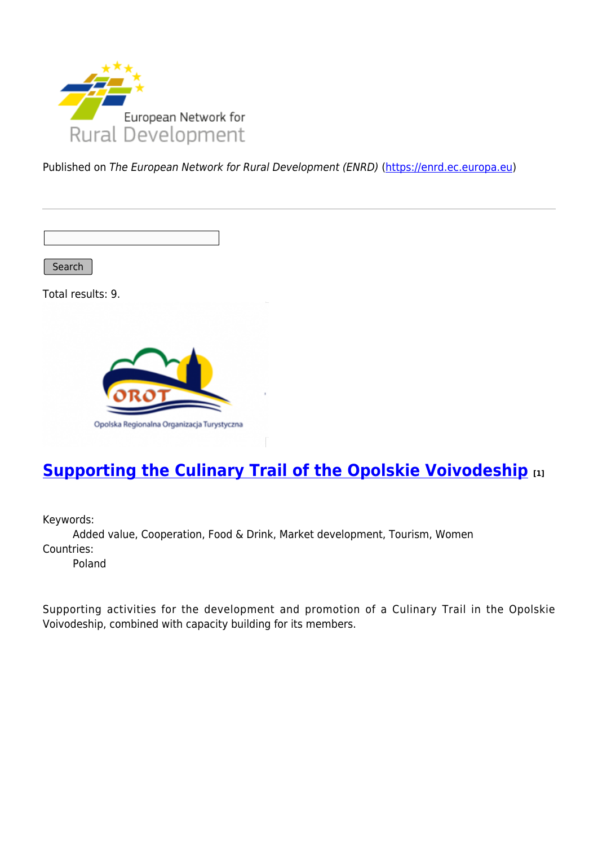

Published on The European Network for Rural Development (ENRD) [\(https://enrd.ec.europa.eu](https://enrd.ec.europa.eu))

Search

Total results: 9.



## **[Supporting the Culinary Trail of the Opolskie Voivodeship](https://enrd.ec.europa.eu/projects-practice/supporting-culinary-trail-opolskie-voivodeship_en) [1]**

Keywords:

Added value, Cooperation, Food & Drink, Market development, Tourism, Women Countries:

Poland

Supporting activities for the development and promotion of a Culinary Trail in the Opolskie Voivodeship, combined with capacity building for its members.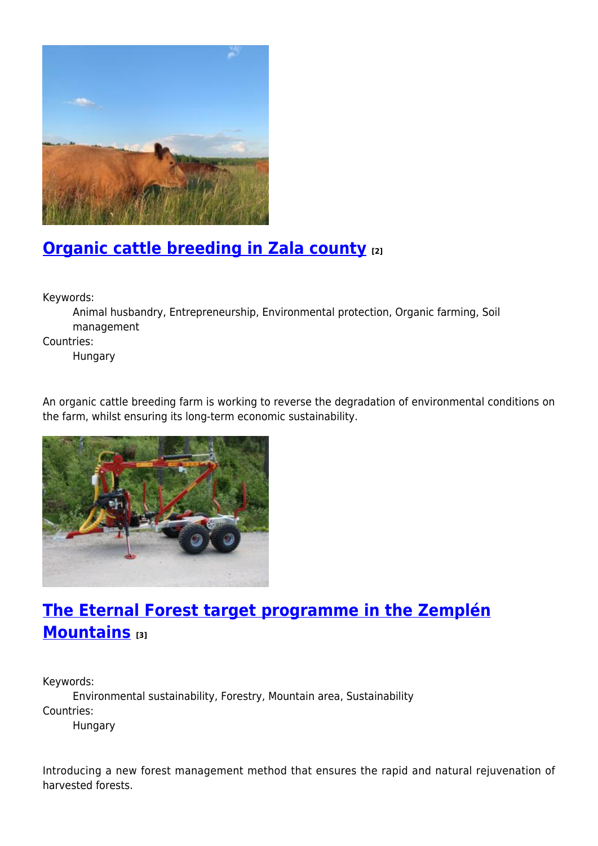

# **[Organic cattle breeding in Zala county](https://enrd.ec.europa.eu/projects-practice/organic-cattle-breeding-zala-county_en) [2]**

Keywords:

Animal husbandry, Entrepreneurship, Environmental protection, Organic farming, Soil management

Countries:

Hungary

An organic cattle breeding farm is working to reverse the degradation of environmental conditions on the farm, whilst ensuring its long-term economic sustainability.



# **[The Eternal Forest target programme in the Zemplén](https://enrd.ec.europa.eu/projects-practice/eternal-forest-target-programme-zemplen-mountains_en) [Mountains](https://enrd.ec.europa.eu/projects-practice/eternal-forest-target-programme-zemplen-mountains_en) [3]**

Keywords:

Environmental sustainability, Forestry, Mountain area, Sustainability Countries:

Hungary

Introducing a new forest management method that ensures the rapid and natural rejuvenation of harvested forests.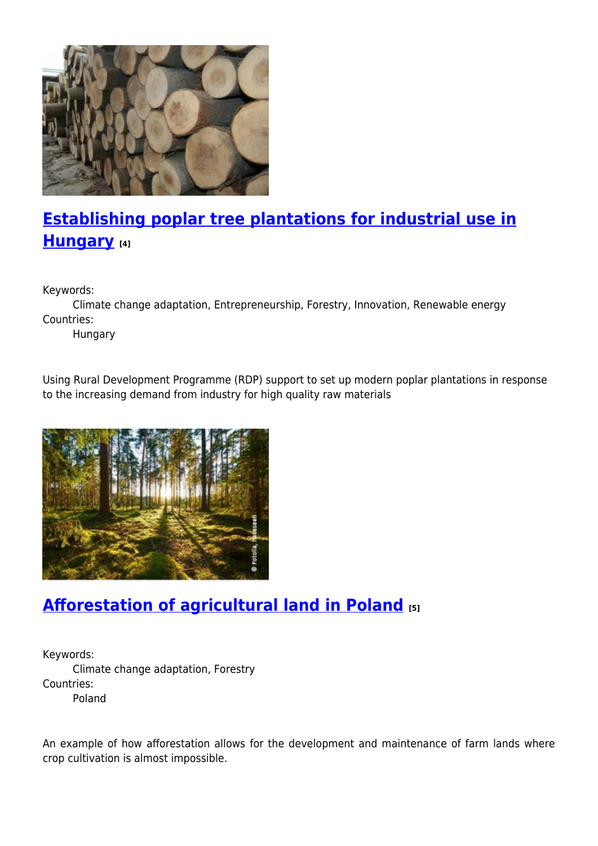

# **[Establishing poplar tree plantations for industrial use in](https://enrd.ec.europa.eu/projects-practice/establishing-poplar-tree-plantations-industrial-use-hungary_en) [Hungary](https://enrd.ec.europa.eu/projects-practice/establishing-poplar-tree-plantations-industrial-use-hungary_en) [4]**

Keywords:

Climate change adaptation, Entrepreneurship, Forestry, Innovation, Renewable energy Countries:

Hungary

Using Rural Development Programme (RDP) support to set up modern poplar plantations in response to the increasing demand from industry for high quality raw materials



# **[Afforestation of agricultural land in Poland](https://enrd.ec.europa.eu/projects-practice/afforestation-agricultural-land-poland_en) [5]**

Keywords: Climate change adaptation, Forestry Countries: Poland

An example of how afforestation allows for the development and maintenance of farm lands where crop cultivation is almost impossible.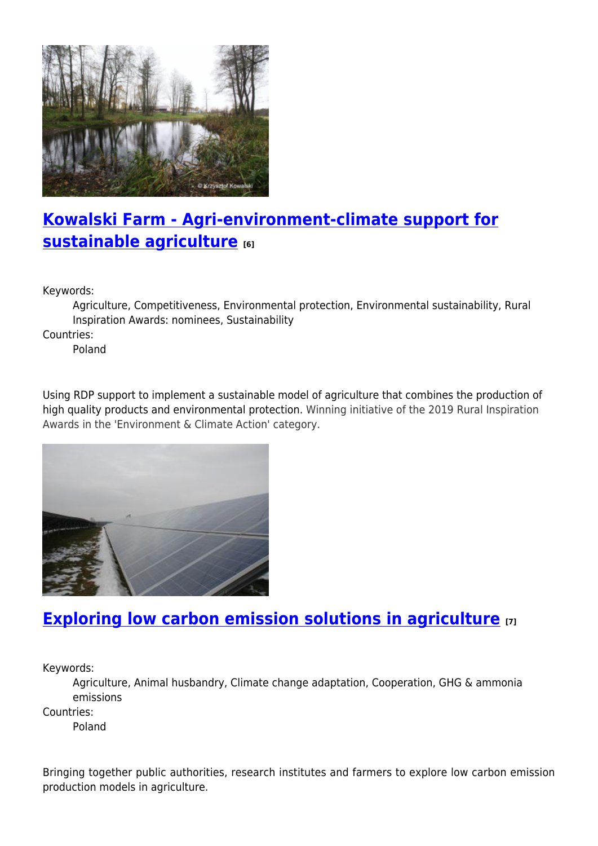

## **[Kowalski Farm - Agri-environment-climate support for](https://enrd.ec.europa.eu/projects-practice/kowalski-farm-agri-environment-climate-support-sustainable-agriculture_en) [sustainable agriculture](https://enrd.ec.europa.eu/projects-practice/kowalski-farm-agri-environment-climate-support-sustainable-agriculture_en) [6]**

Keywords:

Agriculture, Competitiveness, Environmental protection, Environmental sustainability, Rural Inspiration Awards: nominees, Sustainability

Countries:

Poland

Using RDP support to implement a sustainable model of agriculture that combines the production of high quality products and environmental protection. Winning initiative of the 2019 Rural Inspiration Awards in the 'Environment & Climate Action' category.



## **[Exploring low carbon emission solutions in agriculture](https://enrd.ec.europa.eu/projects-practice/exploring-low-carbon-emission-solutions-agriculture_en) [7]**

Keywords:

Agriculture, Animal husbandry, Climate change adaptation, Cooperation, GHG & ammonia emissions

Countries:

Poland

Bringing together public authorities, research institutes and farmers to explore low carbon emission production models in agriculture.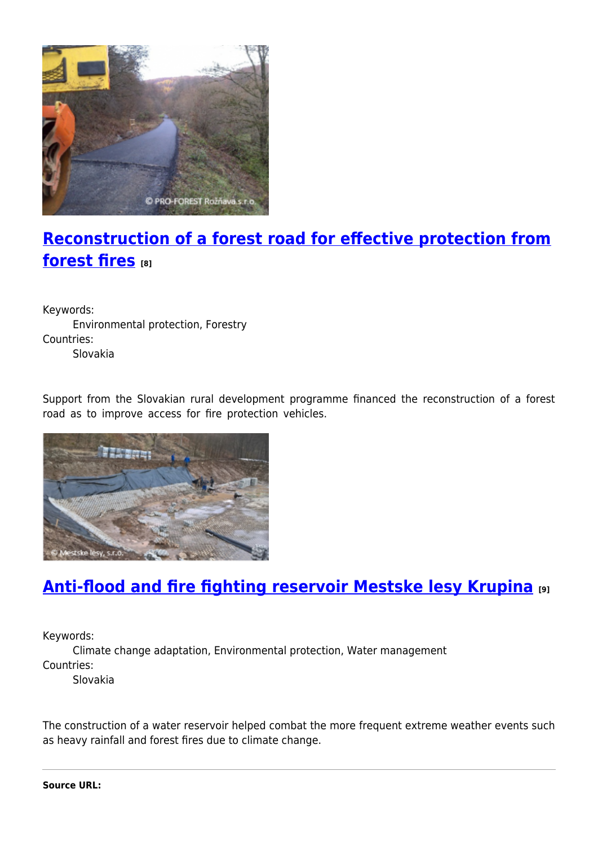

# **[Reconstruction of a forest road for effective protection from](https://enrd.ec.europa.eu/projects-practice/reconstruction-forest-road-effective-protection-forest-fires_en) [forest fires](https://enrd.ec.europa.eu/projects-practice/reconstruction-forest-road-effective-protection-forest-fires_en) [8]**

Keywords: Environmental protection, Forestry Countries: Slovakia

Support from the Slovakian rural development programme financed the reconstruction of a forest road as to improve access for fire protection vehicles.



# **[Anti-flood and fire fighting reservoir Mestske lesy Krupina](https://enrd.ec.europa.eu/projects-practice/anti-flood-and-fire-fighting-reservoir-mestske-lesy-krupina_en) [9]**

Keywords:

Climate change adaptation, Environmental protection, Water management Countries:

Slovakia

The construction of a water reservoir helped combat the more frequent extreme weather events such as heavy rainfall and forest fires due to climate change.